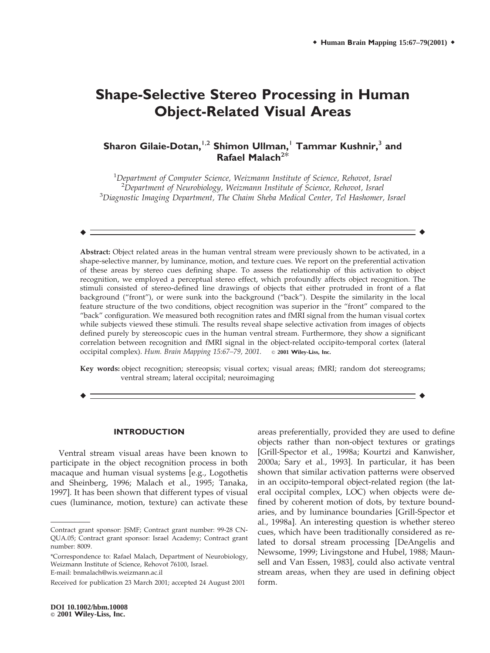# **Shape-Selective Stereo Processing in Human Object-Related Visual Areas**

# **Sharon Gilaie-Dotan,**1,2 **Shimon Ullman,**<sup>1</sup> **Tammar Kushnir,**<sup>3</sup> **and Rafael Malach**2\*

1 *Department of Computer Science, Weizmann Institute of Science, Rehovot, Israel* <sup>2</sup> *Department of Neurobiology, Weizmann Institute of Science, Rehovot, Israel* 3 *Diagnostic Imaging Department, The Chaim Sheba Medical Center, Tel Hashomer, Israel*

r r

**Abstract:** Object related areas in the human ventral stream were previously shown to be activated, in a shape-selective manner, by luminance, motion, and texture cues. We report on the preferential activation of these areas by stereo cues defining shape. To assess the relationship of this activation to object recognition, we employed a perceptual stereo effect, which profoundly affects object recognition. The stimuli consisted of stereo-defined line drawings of objects that either protruded in front of a flat background ("front"), or were sunk into the background ("back"). Despite the similarity in the local feature structure of the two conditions, object recognition was superior in the "front" compared to the "back" configuration. We measured both recognition rates and fMRI signal from the human visual cortex while subjects viewed these stimuli. The results reveal shape selective activation from images of objects defined purely by stereoscopic cues in the human ventral stream. Furthermore, they show a significant correlation between recognition and fMRI signal in the object-related occipito-temporal cortex (lateral occipital complex). *Hum. Brain Mapping 15:67–79, 2001.* © **2001 Wiley-Liss, Inc.**

**Key words:** object recognition; stereopsis; visual cortex; visual areas; fMRI; random dot stereograms; ventral stream; lateral occipital; neuroimaging

r r

### **INTRODUCTION**

Ventral stream visual areas have been known to participate in the object recognition process in both macaque and human visual systems [e.g., Logothetis and Sheinberg, 1996; Malach et al., 1995; Tanaka, 1997]. It has been shown that different types of visual cues (luminance, motion, texture) can activate these

objects rather than non-object textures or gratings [Grill-Spector et al., 1998a; Kourtzi and Kanwisher, 2000a; Sary et al., 1993]. In particular, it has been shown that similar activation patterns were observed in an occipito-temporal object-related region (the lateral occipital complex, LOC) when objects were defined by coherent motion of dots, by texture boundaries, and by luminance boundaries [Grill-Spector et al., 1998a]. An interesting question is whether stereo cues, which have been traditionally considered as related to dorsal stream processing [DeAngelis and Newsome, 1999; Livingstone and Hubel, 1988; Maunsell and Van Essen, 1983], could also activate ventral stream areas, when they are used in defining object form.

areas preferentially, provided they are used to define

Contract grant sponsor: JSMF; Contract grant number: 99-28 CN-QUA.05; Contract grant sponsor: Israel Academy; Contract grant number: 8009.

<sup>\*</sup>Correspondence to: Rafael Malach, Department of Neurobiology, Weizmann Institute of Science, Rehovot 76100, Israel. E-mail: bnmalach@wis.weizmann.ac.il

Received for publication 23 March 2001; accepted 24 August 2001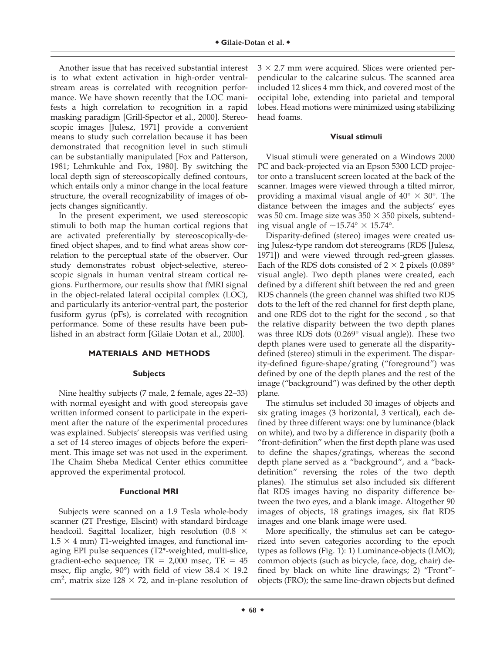Another issue that has received substantial interest is to what extent activation in high-order ventralstream areas is correlated with recognition performance. We have shown recently that the LOC manifests a high correlation to recognition in a rapid masking paradigm [Grill-Spector et al., 2000]. Stereoscopic images [Julesz, 1971] provide a convenient means to study such correlation because it has been demonstrated that recognition level in such stimuli can be substantially manipulated [Fox and Patterson, 1981; Lehmkuhle and Fox, 1980]. By switching the local depth sign of stereoscopically defined contours, which entails only a minor change in the local feature structure, the overall recognizability of images of objects changes significantly.

In the present experiment, we used stereoscopic stimuli to both map the human cortical regions that are activated preferentially by stereoscopically-defined object shapes, and to find what areas show correlation to the perceptual state of the observer. Our study demonstrates robust object-selective, stereoscopic signals in human ventral stream cortical regions. Furthermore, our results show that fMRI signal in the object-related lateral occipital complex (LOC), and particularly its anterior-ventral part, the posterior fusiform gyrus (pFs), is correlated with recognition performance. Some of these results have been published in an abstract form [Gilaie Dotan et al., 2000].

## **MATERIALS AND METHODS**

### **Subjects**

Nine healthy subjects (7 male, 2 female, ages 22–33) with normal eyesight and with good stereopsis gave written informed consent to participate in the experiment after the nature of the experimental procedures was explained. Subjects' stereopsis was verified using a set of 14 stereo images of objects before the experiment. This image set was not used in the experiment. The Chaim Sheba Medical Center ethics committee approved the experimental protocol.

## **Functional MRI**

Subjects were scanned on a 1.9 Tesla whole-body scanner (2T Prestige, Elscint) with standard birdcage headcoil. Sagittal localizer, high resolution (0.8  $\times$  $1.5 \times 4$  mm) T1-weighted images, and functional imaging EPI pulse sequences (T2\*-weighted, multi-slice, gradient-echo sequence;  $TR = 2,000$  msec,  $TE = 45$ msec, flip angle, 90°) with field of view 38.4  $\times$  19.2 cm<sup>2</sup>, matrix size 128  $\times$  72, and in-plane resolution of

 $3 \times 2.7$  mm were acquired. Slices were oriented perpendicular to the calcarine sulcus. The scanned area included 12 slices 4 mm thick, and covered most of the occipital lobe, extending into parietal and temporal lobes. Head motions were minimized using stabilizing head foams.

## **Visual stimuli**

Visual stimuli were generated on a Windows 2000 PC and back-projected via an Epson 5300 LCD projector onto a translucent screen located at the back of the scanner. Images were viewed through a tilted mirror, providing a maximal visual angle of  $40^{\circ} \times 30^{\circ}$ . The distance between the images and the subjects' eyes was 50 cm. Image size was  $350 \times 350$  pixels, subtending visual angle of  $\sim$ 15.74°  $\times$  15.74°.

Disparity-defined (stereo) images were created using Julesz-type random dot stereograms (RDS [Julesz, 1971]) and were viewed through red-green glasses. Each of the RDS dots consisted of  $2 \times 2$  pixels (0.089° visual angle). Two depth planes were created, each defined by a different shift between the red and green RDS channels (the green channel was shifted two RDS dots to the left of the red channel for first depth plane, and one RDS dot to the right for the second , so that the relative disparity between the two depth planes was three RDS dots (0.269° visual angle)). These two depth planes were used to generate all the disparitydefined (stereo) stimuli in the experiment. The disparity-defined figure-shape/grating ("foreground") was defined by one of the depth planes and the rest of the image ("background") was defined by the other depth plane.

The stimulus set included 30 images of objects and six grating images (3 horizontal, 3 vertical), each defined by three different ways: one by luminance (black on white), and two by a difference in disparity (both a "front-definition" when the first depth plane was used to define the shapes/gratings, whereas the second depth plane served as a "background", and a "backdefinition" reversing the roles of the two depth planes). The stimulus set also included six different flat RDS images having no disparity difference between the two eyes, and a blank image. Altogether 90 images of objects, 18 gratings images, six flat RDS images and one blank image were used.

More specifically, the stimulus set can be categorized into seven categories according to the epoch types as follows (Fig. 1): 1) Luminance-objects (LMO); common objects (such as bicycle, face, dog, chair) defined by black on white line drawings; 2) "Front" objects (FRO); the same line-drawn objects but defined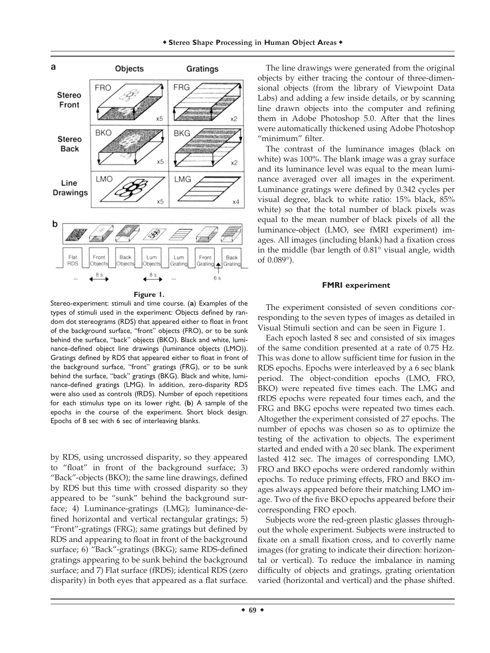

**Figure 1.**

Stereo-experiment: stimuli and time course. (**a**) Examples of the types of stimuli used in the experiment: Objects defined by random dot stereograms (RDS) that appeared either to float in front of the background surface, "front" objects (FRO), or to be sunk behind the surface, "back" objects (BKO). Black and white, luminance-defined object line drawings (luminance objects (LMO)). Gratings defined by RDS that appeared either to float in front of the background surface, "front" gratings (FRG), or to be sunk behind the surface, "back" gratings (BKG). Black and white, luminance-defined gratings (LMG). In addition, zero-disparity RDS were also used as controls (fRDS). Number of epoch repetitions for each stimulus type on its lower right. (**b**) A sample of the epochs in the course of the experiment. Short block design. Epochs of 8 sec with 6 sec of interleaving blanks.

by RDS, using uncrossed disparity, so they appeared to "float" in front of the background surface; 3) "Back"-objects (BKO); the same line drawings, defined by RDS but this time with crossed disparity so they appeared to be "sunk" behind the background surface; 4) Luminance-gratings (LMG); luminance-defined horizontal and vertical rectangular gratings; 5) "Front"-gratings (FRG); same gratings but defined by RDS and appearing to float in front of the background surface; 6) "Back"-gratings (BKG); same RDS-defined gratings appearing to be sunk behind the background surface; and 7) Flat surface (fRDS); identical RDS (zero disparity) in both eyes that appeared as a flat surface.

The line drawings were generated from the original objects by either tracing the contour of three-dimensional objects (from the library of Viewpoint Data Labs) and adding a few inside details, or by scanning line drawn objects into the computer and refining them in Adobe Photoshop 5.0. After that the lines were automatically thickened using Adobe Photoshop "minimum" filter.

The contrast of the luminance images (black on white) was 100%. The blank image was a gray surface and its luminance level was equal to the mean luminance averaged over all images in the experiment. Luminance gratings were defined by 0.342 cycles per visual degree, black to white ratio: 15% black, 85% white) so that the total number of black pixels was equal to the mean number of black pixels of all the luminance-object (LMO, see fMRI experiment) images. All images (including blank) had a fixation cross in the middle (bar length of 0.81° visual angle, width of 0.089°).

#### **FMRI experiment**

The experiment consisted of seven conditions corresponding to the seven types of images as detailed in Visual Stimuli section and can be seen in Figure 1.

Each epoch lasted 8 sec and consisted of six images of the same condition presented at a rate of 0.75 Hz. This was done to allow sufficient time for fusion in the RDS epochs. Epochs were interleaved by a 6 sec blank period. The object-condition epochs (LMO, FRO, BKO) were repeated five times each. The LMG and fRDS epochs were repeated four times each, and the FRG and BKG epochs were repeated two times each. Altogether the experiment consisted of 27 epochs. The number of epochs was chosen so as to optimize the testing of the activation to objects. The experiment started and ended with a 20 sec blank. The experiment lasted 412 sec. The images of corresponding LMO, FRO and BKO epochs were ordered randomly within epochs. To reduce priming effects, FRO and BKO images always appeared before their matching LMO image. Two of the five BKO epochs appeared before their corresponding FRO epoch.

Subjects wore the red-green plastic glasses throughout the whole experiment. Subjects were instructed to fixate on a small fixation cross, and to covertly name images (for grating to indicate their direction: horizontal or vertical). To reduce the imbalance in naming difficulty of objects and gratings, grating orientation varied (horizontal and vertical) and the phase shifted.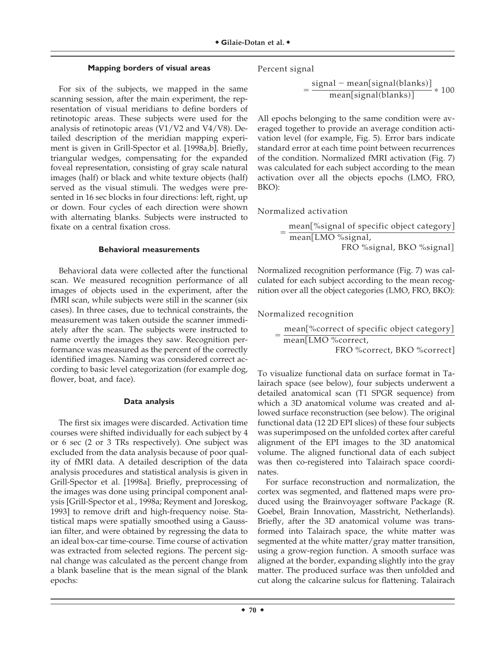## **Mapping borders of visual areas**

For six of the subjects, we mapped in the same scanning session, after the main experiment, the representation of visual meridians to define borders of retinotopic areas. These subjects were used for the analysis of retinotopic areas (V1/V2 and V4/V8). Detailed description of the meridian mapping experiment is given in Grill-Spector et al. [1998a,b]. Briefly, triangular wedges, compensating for the expanded foveal representation, consisting of gray scale natural images (half) or black and white texture objects (half) served as the visual stimuli. The wedges were presented in 16 sec blocks in four directions: left, right, up or down. Four cycles of each direction were shown with alternating blanks. Subjects were instructed to fixate on a central fixation cross.

## **Behavioral measurements**

Behavioral data were collected after the functional scan. We measured recognition performance of all images of objects used in the experiment, after the fMRI scan, while subjects were still in the scanner (six cases). In three cases, due to technical constraints, the measurement was taken outside the scanner immediately after the scan. The subjects were instructed to name overtly the images they saw. Recognition performance was measured as the percent of the correctly identified images. Naming was considered correct according to basic level categorization (for example dog, flower, boat, and face).

## **Data analysis**

The first six images were discarded. Activation time courses were shifted individually for each subject by 4 or 6 sec (2 or 3 TRs respectively). One subject was excluded from the data analysis because of poor quality of fMRI data. A detailed description of the data analysis procedures and statistical analysis is given in Grill-Spector et al. [1998a]. Briefly, preprocessing of the images was done using principal component analysis [Grill-Spector et al., 1998a; Reyment and Joreskog, 1993] to remove drift and high-frequency noise. Statistical maps were spatially smoothed using a Gaussian filter, and were obtained by regressing the data to an ideal box-car time-course. Time course of activation was extracted from selected regions. The percent signal change was calculated as the percent change from a blank baseline that is the mean signal of the blank epochs:

Percent signal

$$
= \frac{signal - mean[signal(blanks)]}{mean[signal(blanks)]} * 100
$$

All epochs belonging to the same condition were averaged together to provide an average condition activation level (for example, Fig. 5). Error bars indicate standard error at each time point between recurrences of the condition. Normalized fMRI activation (Fig. 7) was calculated for each subject according to the mean activation over all the objects epochs (LMO, FRO, BKO):

Normalized activation

$$
= \frac{mean[\%signal of specific object category]}{mean[LMO %signal, FRO %signal, BKO %signal]}
$$

Normalized recognition performance (Fig. 7) was calculated for each subject according to the mean recognition over all the object categories (LMO, FRO, BKO):

Normalized recognition

$$
= \frac{\text{mean}[\%correct of specific object category]}{\text{mean}[\text{LMO %correct},}_{\text{FRO %correct},\text{BKO %correct}]}
$$

To visualize functional data on surface format in Talairach space (see below), four subjects underwent a detailed anatomical scan (T1 SPGR sequence) from which a 3D anatomical volume was created and allowed surface reconstruction (see below). The original functional data (12 2D EPI slices) of these four subjects was superimposed on the unfolded cortex after careful alignment of the EPI images to the 3D anatomical volume. The aligned functional data of each subject was then co-registered into Talairach space coordinates.

For surface reconstruction and normalization, the cortex was segmented, and flattened maps were produced using the Brainvoyager software Package (R. Goebel, Brain Innovation, Masstricht, Netherlands). Briefly, after the 3D anatomical volume was transformed into Talairach space, the white matter was segmented at the white matter/gray matter transition, using a grow-region function. A smooth surface was aligned at the border, expanding slightly into the gray matter. The produced surface was then unfolded and cut along the calcarine sulcus for flattening. Talairach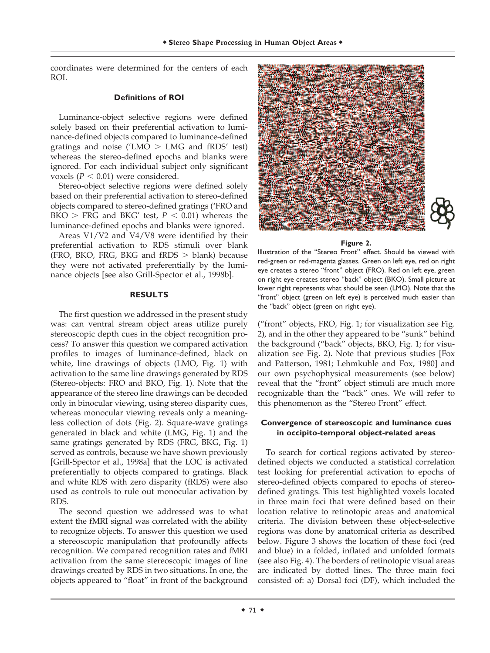coordinates were determined for the centers of each ROI.

### **Definitions of ROI**

Luminance-object selective regions were defined solely based on their preferential activation to luminance-defined objects compared to luminance-defined gratings and noise ( $LMO > LMG$  and  $fRDS'$  test) whereas the stereo-defined epochs and blanks were ignored. For each individual subject only significant voxels ( $P < 0.01$ ) were considered.

Stereo-object selective regions were defined solely based on their preferential activation to stereo-defined objects compared to stereo-defined gratings ('FRO and  $BKO > FRG$  and  $BKG'$  test,  $P < 0.01$ ) whereas the luminance-defined epochs and blanks were ignored.

Areas V1/V2 and V4/V8 were identified by their preferential activation to RDS stimuli over blank (FRO, BKO, FRG, BKG and  $fRDS >$  blank) because they were not activated preferentially by the luminance objects [see also Grill-Spector et al., 1998b].

### **RESULTS**

The first question we addressed in the present study was: can ventral stream object areas utilize purely stereoscopic depth cues in the object recognition process? To answer this question we compared activation profiles to images of luminance-defined, black on white, line drawings of objects (LMO, Fig. 1) with activation to the same line drawings generated by RDS (Stereo-objects: FRO and BKO, Fig. 1). Note that the appearance of the stereo line drawings can be decoded only in binocular viewing, using stereo disparity cues, whereas monocular viewing reveals only a meaningless collection of dots (Fig. 2). Square-wave gratings generated in black and white (LMG, Fig. 1) and the same gratings generated by RDS (FRG, BKG, Fig. 1) served as controls, because we have shown previously [Grill-Spector et al., 1998a] that the LOC is activated preferentially to objects compared to gratings. Black and white RDS with zero disparity (fRDS) were also used as controls to rule out monocular activation by RDS.

The second question we addressed was to what extent the fMRI signal was correlated with the ability to recognize objects. To answer this question we used a stereoscopic manipulation that profoundly affects recognition. We compared recognition rates and fMRI activation from the same stereoscopic images of line drawings created by RDS in two situations. In one, the objects appeared to "float" in front of the background



### **Figure 2.**

Illustration of the "Stereo Front" effect. Should be viewed with red-green or red-magenta glasses. Green on left eye, red on right eye creates a stereo "front" object (FRO). Red on left eye, green on right eye creates stereo "back" object (BKO). Small picture at lower right represents what should be seen (LMO). Note that the "front" object (green on left eye) is perceived much easier than the "back" object (green on right eye).

("front" objects, FRO, Fig. 1; for visualization see Fig. 2), and in the other they appeared to be "sunk" behind the background ("back" objects, BKO, Fig. 1; for visualization see Fig. 2). Note that previous studies [Fox and Patterson, 1981; Lehmkuhle and Fox, 1980] and our own psychophysical measurements (see below) reveal that the "front" object stimuli are much more recognizable than the "back" ones. We will refer to this phenomenon as the "Stereo Front" effect.

## **Convergence of stereoscopic and luminance cues in occipito-temporal object-related areas**

To search for cortical regions activated by stereodefined objects we conducted a statistical correlation test looking for preferential activation to epochs of stereo-defined objects compared to epochs of stereodefined gratings. This test highlighted voxels located in three main foci that were defined based on their location relative to retinotopic areas and anatomical criteria. The division between these object-selective regions was done by anatomical criteria as described below. Figure 3 shows the location of these foci (red and blue) in a folded, inflated and unfolded formats (see also Fig. 4). The borders of retinotopic visual areas are indicated by dotted lines. The three main foci consisted of: a) Dorsal foci (DF), which included the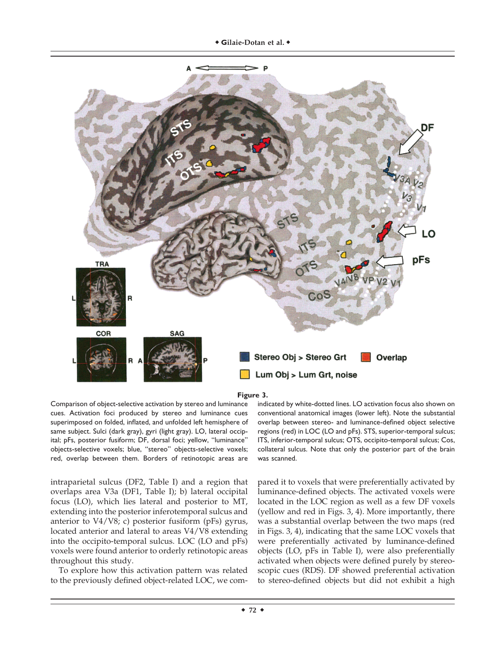

#### **Figure 3.**

Comparison of object-selective activation by stereo and luminance cues. Activation foci produced by stereo and luminance cues superimposed on folded, inflated, and unfolded left hemisphere of same subject. Sulci (dark gray), gyri (light gray). LO, lateral occipital; pFs, posterior fusiform; DF, dorsal foci; yellow, "luminance" objects-selective voxels; blue, "stereo" objects-selective voxels; red, overlap between them. Borders of retinotopic areas are

intraparietal sulcus (DF2, Table I) and a region that overlaps area V3a (DF1, Table I); b) lateral occipital focus (LO), which lies lateral and posterior to MT, extending into the posterior inferotemporal sulcus and anterior to V4/V8; c) posterior fusiform (pFs) gyrus, located anterior and lateral to areas V4/V8 extending into the occipito-temporal sulcus. LOC (LO and pFs) voxels were found anterior to orderly retinotopic areas throughout this study.

To explore how this activation pattern was related to the previously defined object-related LOC, we com-

indicated by white-dotted lines. LO activation focus also shown on conventional anatomical images (lower left). Note the substantial overlap between stereo- and luminance-defined object selective regions (red) in LOC (LO and pFs). STS, superior-temporal sulcus; ITS, inferior-temporal sulcus; OTS, occipito-temporal sulcus; Cos, collateral sulcus. Note that only the posterior part of the brain was scanned.

pared it to voxels that were preferentially activated by luminance-defined objects. The activated voxels were located in the LOC region as well as a few DF voxels (yellow and red in Figs. 3, 4). More importantly, there was a substantial overlap between the two maps (red in Figs. 3, 4), indicating that the same LOC voxels that were preferentially activated by luminance-defined objects (LO, pFs in Table I), were also preferentially activated when objects were defined purely by stereoscopic cues (RDS). DF showed preferential activation to stereo-defined objects but did not exhibit a high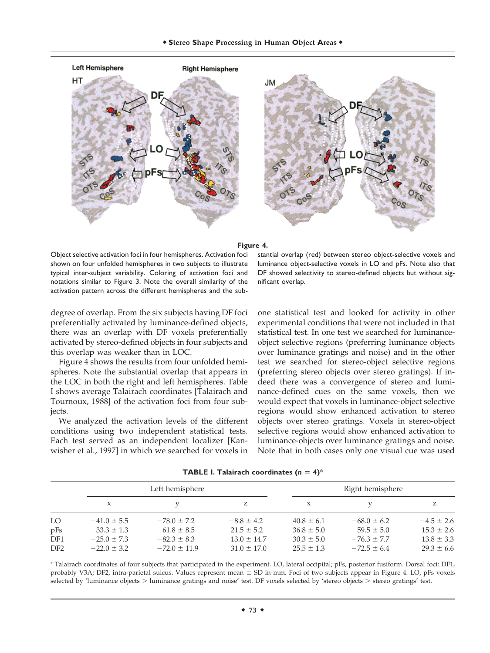

#### **Figure 4.**

Object selective activation foci in four hemispheres. Activation foci shown on four unfolded hemispheres in two subjects to illustrate typical inter-subject variability. Coloring of activation foci and notations similar to Figure 3. Note the overall similarity of the activation pattern across the different hemispheres and the sub-

degree of overlap. From the six subjects having DF foci preferentially activated by luminance-defined objects, there was an overlap with DF voxels preferentially activated by stereo-defined objects in four subjects and this overlap was weaker than in LOC.

Figure 4 shows the results from four unfolded hemispheres. Note the substantial overlap that appears in the LOC in both the right and left hemispheres. Table I shows average Talairach coordinates [Talairach and Tournoux, 1988] of the activation foci from four subjects.

We analyzed the activation levels of the different conditions using two independent statistical tests. Each test served as an independent localizer [Kanwisher et al., 1997] in which we searched for voxels in

stantial overlap (red) between stereo object-selective voxels and luminance object-selective voxels in LO and pFs. Note also that DF showed selectivity to stereo-defined objects but without significant overlap.

one statistical test and looked for activity in other experimental conditions that were not included in that statistical test. In one test we searched for luminanceobject selective regions (preferring luminance objects over luminance gratings and noise) and in the other test we searched for stereo-object selective regions (preferring stereo objects over stereo gratings). If indeed there was a convergence of stereo and luminance-defined cues on the same voxels, then we would expect that voxels in luminance-object selective regions would show enhanced activation to stereo objects over stereo gratings. Voxels in stereo-object selective regions would show enhanced activation to luminance-objects over luminance gratings and noise. Note that in both cases only one visual cue was used

|                                           | Left hemisphere                                       |                                                        |                                                       | Right hemisphere                                   |                                                       |                                                     |
|-------------------------------------------|-------------------------------------------------------|--------------------------------------------------------|-------------------------------------------------------|----------------------------------------------------|-------------------------------------------------------|-----------------------------------------------------|
|                                           | X                                                     |                                                        | z                                                     | X                                                  |                                                       | z                                                   |
| LO                                        | $-41.0 \pm 5.5$                                       | $-78.0 \pm 7.2$                                        | $-8.8 + 4.2$                                          | $40.8 \pm 6.1$                                     | $-68.0 \pm 6.2$                                       | $-4.5 \pm 2.6$                                      |
| pFs<br>DF <sub>1</sub><br>DF <sub>2</sub> | $-33.3 \pm 1.3$<br>$-25.0 \pm 7.3$<br>$-22.0 \pm 3.2$ | $-61.8 \pm 8.5$<br>$-82.3 \pm 8.3$<br>$-72.0 \pm 11.9$ | $-21.5 \pm 5.2$<br>$13.0 \pm 14.7$<br>$31.0 \pm 17.0$ | $36.8 \pm 5.0$<br>$30.3 \pm 5.0$<br>$25.5 \pm 1.3$ | $-59.5 \pm 5.0$<br>$-76.3 \pm 7.7$<br>$-72.5 \pm 6.4$ | $-15.3 \pm 2.6$<br>$13.8 \pm 3.3$<br>$29.3 \pm 6.6$ |

**TABLE I. Talairach coordinates**  $(n = 4)^*$ 

\* Talairach coordinates of four subjects that participated in the experiment. LO, lateral occipital; pFs, posterior fusiform. Dorsal foci: DF1, probably V3A; DF2, intra-parietal sulcus. Values represent mean  $\pm$  SD in mm. Foci of two subjects appear in Figure 4. LO, pFs voxels selected by 'luminance objects > luminance gratings and noise' test. DF voxels selected by 'stereo objects > stereo gratings' test.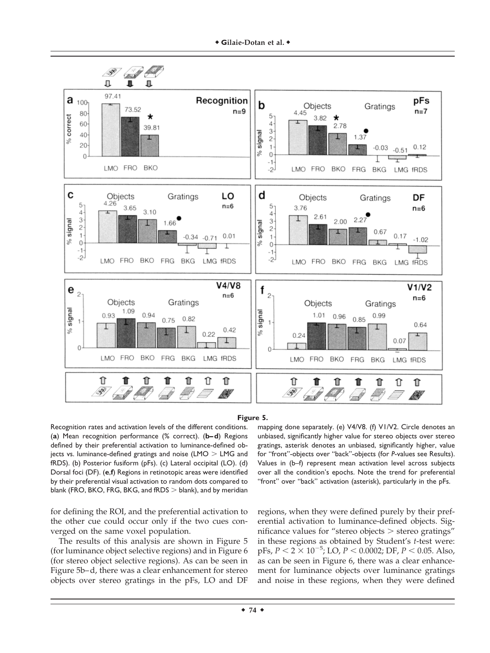

#### **Figure 5.**

Recognition rates and activation levels of the different conditions. (**a**) Mean recognition performance (% correct). (**b–d**) Regions defined by their preferential activation to luminance-defined objects vs. luminance-defined gratings and noise (LMO  $>$  LMG and fRDS). (b) Posterior fusiform (pFs). (c) Lateral occipital (LO). (d) Dorsal foci (DF). (**e**,**f**) Regions in retinotopic areas were identified by their preferential visual activation to random dots compared to blank (FRO, BKO, FRG, BKG, and  $fRDS >$  blank), and by meridian

for defining the ROI, and the preferential activation to the other cue could occur only if the two cues converged on the same voxel population.

The results of this analysis are shown in Figure 5 (for luminance object selective regions) and in Figure 6 (for stereo object selective regions). As can be seen in Figure 5b–d, there was a clear enhancement for stereo objects over stereo gratings in the pFs, LO and DF mapping done separately. (e) V4/V8. (f) V1/V2. Circle denotes an unbiased, significantly higher value for stereo objects over stereo gratings, asterisk denotes an unbiased, significantly higher, value for "front"-objects over "back"-objects (for *P*-values see Results). Values in (b–f) represent mean activation level across subjects over all the condition's epochs. Note the trend for preferential "front" over "back" activation (asterisk), particularly in the pFs.

regions, when they were defined purely by their preferential activation to luminance-defined objects. Significance values for "stereo objects  $>$  stereo gratings" in these regions as obtained by Student's *t*-test were: pFs,  $P < 2 \times 10^{-5}$ ; LO,  $P < 0.0002$ ; DF,  $P < 0.05$ . Also, as can be seen in Figure 6, there was a clear enhancement for luminance objects over luminance gratings and noise in these regions, when they were defined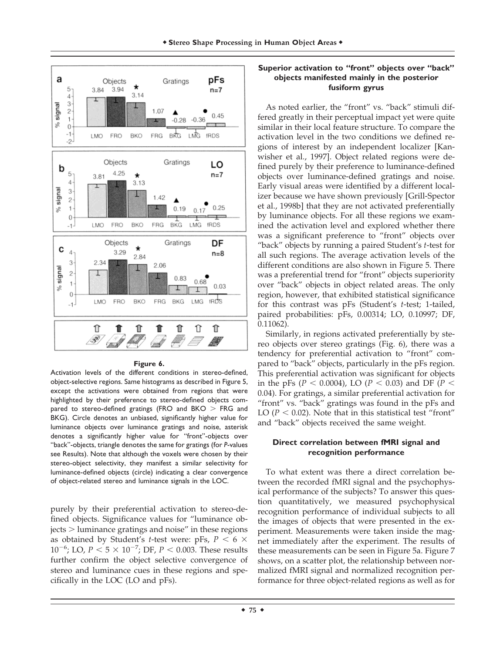

#### **Figure 6.**

Activation levels of the different conditions in stereo-defined, object-selective regions. Same histograms as described in Figure 5, except the activations were obtained from regions that were highlighted by their preference to stereo-defined objects compared to stereo-defined gratings (FRO and BKO  $>$  FRG and BKG). Circle denotes an unbiased, significantly higher value for luminance objects over luminance gratings and noise, asterisk denotes a significantly higher value for "front"-objects over "back"-objects, triangle denotes the same for gratings (for *P*-values see Results). Note that although the voxels were chosen by their stereo-object selectivity, they manifest a similar selectivity for luminance-defined objects (circle) indicating a clear convergence of object-related stereo and luminance signals in the LOC.

purely by their preferential activation to stereo-defined objects. Significance values for "luminance ob $jets$   $>$  luminance gratings and noise" in these regions as obtained by Student's *t*-test were: pFs,  $P < 6 \times$  $10^{-6}$ ; LO,  $P < 5 \times 10^{-7}$ ; DF,  $P < 0.003$ . These results further confirm the object selective convergence of stereo and luminance cues in these regions and specifically in the LOC (LO and pFs).

# **Superior activation to "front" objects over "back" objects manifested mainly in the posterior fusiform gyrus**

As noted earlier, the "front" vs. "back" stimuli differed greatly in their perceptual impact yet were quite similar in their local feature structure. To compare the activation level in the two conditions we defined regions of interest by an independent localizer [Kanwisher et al., 1997]. Object related regions were defined purely by their preference to luminance-defined objects over luminance-defined gratings and noise. Early visual areas were identified by a different localizer because we have shown previously [Grill-Spector et al., 1998b] that they are not activated preferentially by luminance objects. For all these regions we examined the activation level and explored whether there was a significant preference to "front" objects over "back" objects by running a paired Student's *t*-test for all such regions. The average activation levels of the different conditions are also shown in Figure 5. There was a preferential trend for "front" objects superiority over "back" objects in object related areas. The only region, however, that exhibited statistical significance for this contrast was pFs (Student's *t*-test; 1-tailed, paired probabilities: pFs, 0.00314; LO, 0.10997; DF, 0.11062).

Similarly, in regions activated preferentially by stereo objects over stereo gratings (Fig. 6), there was a tendency for preferential activation to "front" compared to "back" objects, particularly in the pFs region. This preferential activation was significant for objects in the pFs ( $P < 0.0004$ ), LO ( $P < 0.03$ ) and DF ( $P <$ 0.04). For gratings, a similar preferential activation for "front" vs. "back" gratings was found in the pFs and LO ( $P < 0.02$ ). Note that in this statistical test "front" and "back" objects received the same weight.

# **Direct correlation between fMRI signal and recognition performance**

To what extent was there a direct correlation between the recorded fMRI signal and the psychophysical performance of the subjects? To answer this question quantitatively, we measured psychophysical recognition performance of individual subjects to all the images of objects that were presented in the experiment. Measurements were taken inside the magnet immediately after the experiment. The results of these measurements can be seen in Figure 5a. Figure 7 shows, on a scatter plot, the relationship between normalized fMRI signal and normalized recognition performance for three object-related regions as well as for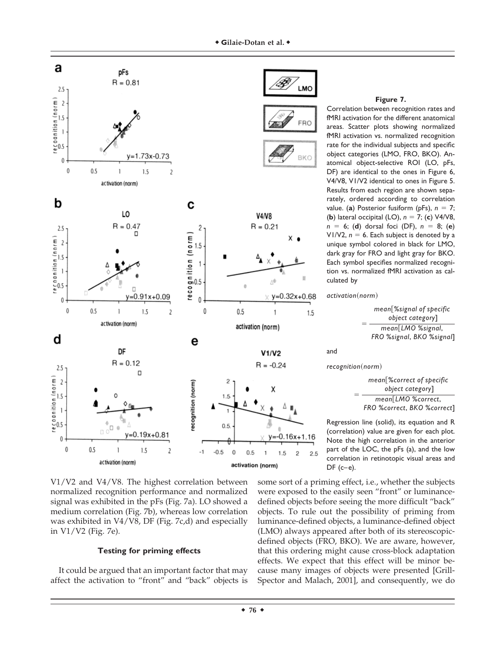

V1/V2 and V4/V8. The highest correlation between normalized recognition performance and normalized signal was exhibited in the pFs (Fig. 7a). LO showed a medium correlation (Fig. 7b), whereas low correlation was exhibited in V4/V8, DF (Fig. 7c,d) and especially in V1/V2 (Fig. 7e).

## **Testing for priming effects**

It could be argued that an important factor that may affect the activation to "front" and "back" objects is

# **Figure 7.**

Correlation between recognition rates and fMRI activation for the different anatomical areas. Scatter plots showing normalized fMRI activation vs. normalized recognition rate for the individual subjects and specific object categories (LMO, FRO, BKO). Anatomical object-selective ROI (LO, pFs, DF) are identical to the ones in Figure 6, V4/V8, V1/V2 identical to ones in Figure 5. Results from each region are shown separately, ordered according to correlation value. (a) Posterior fusiform (pFs),  $n = 7$ ; (**b**) lateral occipital (LO),  $n = 7$ ; (**c**) V4/V8,  $n = 6$ ; (**d**) dorsal foci (DF),  $n = 8$ ; (**e**)  $V1/V2$ ,  $n = 6$ . Each subject is denoted by a unique symbol colored in black for LMO, dark gray for FRO and light gray for BKO. Each symbol specifies normalized recognition vs. normalized fMRI activation as calculated by

*activation*~*norm*!

 $=$ *mean*@%*signal of specific object category*]  $mean$ [*LMO* %signal, *FRO* %*signal*, *BKO* %*signal*]

and

*recognition*~*norm*!

| mean \ % correct of specific |  |  |  |  |
|------------------------------|--|--|--|--|
| object category]             |  |  |  |  |
| mean[LMO %correct,           |  |  |  |  |
| FRO %correct, BKO %correct]  |  |  |  |  |

Regression line (solid), its equation and R (correlation) value are given for each plot. Note the high correlation in the anterior part of the LOC, the pFs (a), and the low correlation in retinotopic visual areas and DF (c–e).

some sort of a priming effect, i.e., whether the subjects were exposed to the easily seen "front" or luminancedefined objects before seeing the more difficult "back" objects. To rule out the possibility of priming from luminance-defined objects, a luminance-defined object (LMO) always appeared after both of its stereoscopicdefined objects (FRO, BKO). We are aware, however, that this ordering might cause cross-block adaptation effects. We expect that this effect will be minor because many images of objects were presented [Grill-Spector and Malach, 2001], and consequently, we do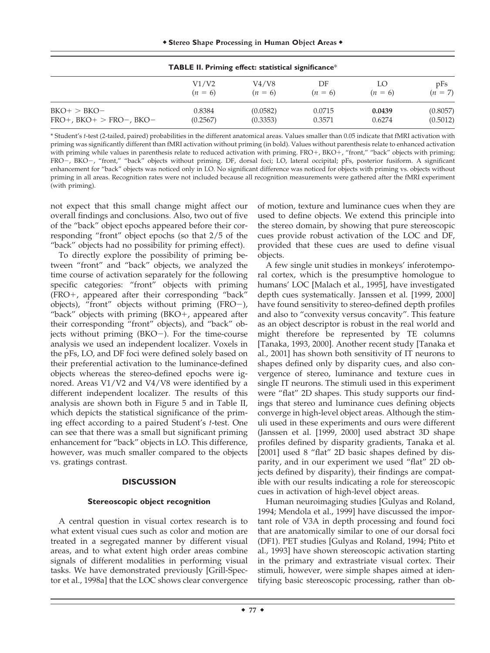| TABLE II. Priming effect: statistical significance* |           |           |           |           |           |  |  |
|-----------------------------------------------------|-----------|-----------|-----------|-----------|-----------|--|--|
|                                                     | V1/V2     | V4/V8     | DF        | LO        | pFs       |  |  |
|                                                     | $(n = 6)$ | $(n = 6)$ | $(n = 6)$ | $(n = 6)$ | $(n = 7)$ |  |  |
| $BKO^+$ $>$ $BKO^-$                                 | 0.8384    | (0.0582)  | 0.0715    | 0.0439    | (0.8057)  |  |  |
| $FRO+$ , $BKO+$ > $FRO-$ , $BKO-$                   | (0.2567)  | (0.3353)  | 0.3571    | 0.6274    | (0.5012)  |  |  |

\* Student's *t*-test (2-tailed, paired) probabilities in the different anatomical areas. Values smaller than 0.05 indicate that fMRI activation with priming was significantly different than fMRI activation without priming (in bold). Values without parenthesis relate to enhanced activation with priming while values in parenthesis relate to reduced activation with priming. FRO+, BKO+, "front," "back" objects with priming; FRO-, BKO-, "front," "back" objects without priming. DF, dorsal foci; LO, lateral occipital; pFs, posterior fusiform. A significant enhancement for "back" objects was noticed only in LO. No significant difference was noticed for objects with priming vs. objects without priming in all areas. Recognition rates were not included because all recognition measurements were gathered after the fMRI experiment (with priming).

not expect that this small change might affect our overall findings and conclusions. Also, two out of five of the "back" object epochs appeared before their corresponding "front" object epochs (so that 2/5 of the "back" objects had no possibility for priming effect).

To directly explore the possibility of priming between "front" and "back" objects, we analyzed the time course of activation separately for the following specific categories: "front" objects with priming  $(FRO+,$  appeared after their corresponding "back" objects), "front" objects without priming  $(FRO-)$ , "back" objects with priming  $(BKO+$ , appeared after their corresponding "front" objects), and "back" objects without priming  $(BKO-)$ . For the time-course analysis we used an independent localizer. Voxels in the pFs, LO, and DF foci were defined solely based on their preferential activation to the luminance-defined objects whereas the stereo-defined epochs were ignored. Areas V1/V2 and V4/V8 were identified by a different independent localizer. The results of this analysis are shown both in Figure 5 and in Table II, which depicts the statistical significance of the priming effect according to a paired Student's *t*-test. One can see that there was a small but significant priming enhancement for "back" objects in LO. This difference, however, was much smaller compared to the objects vs. gratings contrast.

### **DISCUSSION**

## **Stereoscopic object recognition**

A central question in visual cortex research is to what extent visual cues such as color and motion are treated in a segregated manner by different visual areas, and to what extent high order areas combine signals of different modalities in performing visual tasks. We have demonstrated previously [Grill-Spector et al., 1998a] that the LOC shows clear convergence of motion, texture and luminance cues when they are used to define objects. We extend this principle into the stereo domain, by showing that pure stereoscopic cues provide robust activation of the LOC and DF, provided that these cues are used to define visual objects.

A few single unit studies in monkeys' inferotemporal cortex, which is the presumptive homologue to humans' LOC [Malach et al., 1995], have investigated depth cues systematically. Janssen et al. [1999, 2000] have found sensitivity to stereo-defined depth profiles and also to "convexity versus concavity". This feature as an object descriptor is robust in the real world and might therefore be represented by TE columns [Tanaka, 1993, 2000]. Another recent study [Tanaka et al., 2001] has shown both sensitivity of IT neurons to shapes defined only by disparity cues, and also convergence of stereo, luminance and texture cues in single IT neurons. The stimuli used in this experiment were "flat" 2D shapes. This study supports our findings that stereo and luminance cues defining objects converge in high-level object areas. Although the stimuli used in these experiments and ours were different (Janssen et al. [1999, 2000] used abstract 3D shape profiles defined by disparity gradients, Tanaka et al. [2001] used 8 "flat" 2D basic shapes defined by disparity, and in our experiment we used "flat" 2D objects defined by disparity), their findings are compatible with our results indicating a role for stereoscopic cues in activation of high-level object areas.

Human neuroimaging studies [Gulyas and Roland, 1994; Mendola et al., 1999] have discussed the important role of V3A in depth processing and found foci that are anatomically similar to one of our dorsal foci (DF1). PET studies [Gulyas and Roland, 1994; Ptito et al., 1993] have shown stereoscopic activation starting in the primary and extrastriate visual cortex. Their stimuli, however, were simple shapes aimed at identifying basic stereoscopic processing, rather than ob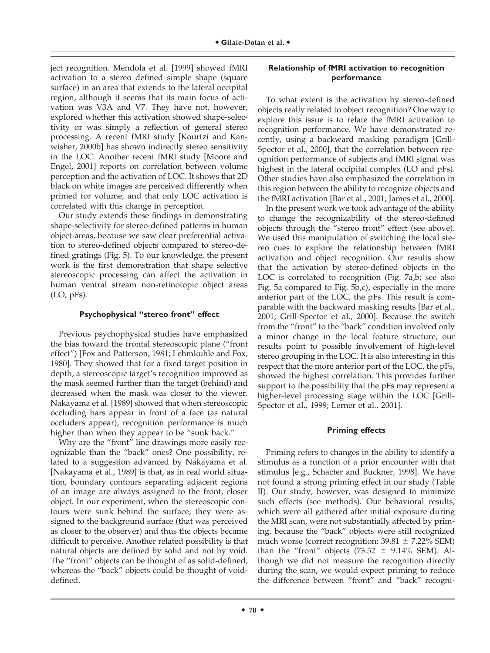ject recognition. Mendola et al. [1999] showed fMRI activation to a stereo defined simple shape (square surface) in an area that extends to the lateral occipital region, although it seems that its main focus of activation was V3A and V7. They have not, however, explored whether this activation showed shape-selectivity or was simply a reflection of general stereo processing. A recent fMRI study [Kourtzi and Kanwisher, 2000b] has shown indirectly stereo sensitivity in the LOC. Another recent fMRI study [Moore and Engel, 2001] reports on correlation between volume perception and the activation of LOC. It shows that 2D black on white images are perceived differently when primed for volume, and that only LOC activation is correlated with this change in perception.

Our study extends these findings in demonstrating shape-selectivity for stereo-defined patterns in human object-areas, because we saw clear preferential activation to stereo-defined objects compared to stereo-defined gratings (Fig. 5). To our knowledge, the present work is the first demonstration that shape selective stereoscopic processing can affect the activation in human ventral stream non-retinotopic object areas (LO, pFs).

# **Psychophysical "stereo front" effect**

Previous psychophysical studies have emphasized the bias toward the frontal stereoscopic plane ("front effect") [Fox and Patterson, 1981; Lehmkuhle and Fox, 1980]. They showed that for a fixed target position in depth, a stereoscopic target's recognition improved as the mask seemed further than the target (behind) and decreased when the mask was closer to the viewer. Nakayama et al. [1989] showed that when stereoscopic occluding bars appear in front of a face (as natural occluders appear), recognition performance is much higher than when they appear to be "sunk back."

Why are the "front" line drawings more easily recognizable than the "back" ones? One possibility, related to a suggestion advanced by Nakayama et al. [Nakayama et al., 1989] is that, as in real world situation, boundary contours separating adjacent regions of an image are always assigned to the front, closer object. In our experiment, when the stereoscopic contours were sunk behind the surface, they were assigned to the background surface (that was perceived as closer to the observer) and thus the objects became difficult to perceive. Another related possibility is that natural objects are defined by solid and not by void. The "front" objects can be thought of as solid-defined, whereas the "back" objects could be thought of voiddefined.

# **Relationship of fMRI activation to recognition performance**

To what extent is the activation by stereo-defined objects really related to object recognition? One way to explore this issue is to relate the fMRI activation to recognition performance. We have demonstrated recently, using a backward masking paradigm [Grill-Spector et al., 2000], that the correlation between recognition performance of subjects and fMRI signal was highest in the lateral occipital complex (LO and pFs). Other studies have also emphasized the correlation in this region between the ability to recognize objects and the fMRI activation [Bar et al., 2001; James et al., 2000].

In the present work we took advantage of the ability to change the recognizability of the stereo-defined objects through the "stereo front" effect (see above). We used this manipulation of switching the local stereo cues to explore the relationship between fMRI activation and object recognition. Our results show that the activation by stereo-defined objects in the LOC is correlated to recognition (Fig. 7a,b; see also Fig. 5a compared to Fig. 5b,c), especially in the more anterior part of the LOC, the pFs. This result is comparable with the backward masking results [Bar et al., 2001; Grill-Spector et al., 2000]. Because the switch from the "front" to the "back" condition involved only a minor change in the local feature structure, our results point to possible involvement of high-level stereo grouping in the LOC. It is also interesting in this respect that the more anterior part of the LOC, the pFs, showed the highest correlation. This provides further support to the possibility that the pFs may represent a higher-level processing stage within the LOC [Grill-Spector et al., 1999; Lerner et al., 2001].

# **Priming effects**

Priming refers to changes in the ability to identify a stimulus as a function of a prior encounter with that stimulus [e.g., Schacter and Buckner, 1998]. We have not found a strong priming effect in our study (Table II). Our study, however, was designed to minimize such effects (see methods). Our behavioral results, which were all gathered after initial exposure during the MRI scan, were not substantially affected by priming, because the "back" objects were still recognized much worse (correct recognition:  $39.81 \pm 7.22\%$  SEM) than the "front" objects (73.52  $\pm$  9.14% SEM). Although we did not measure the recognition directly during the scan, we would expect priming to reduce the difference between "front" and "back" recogni